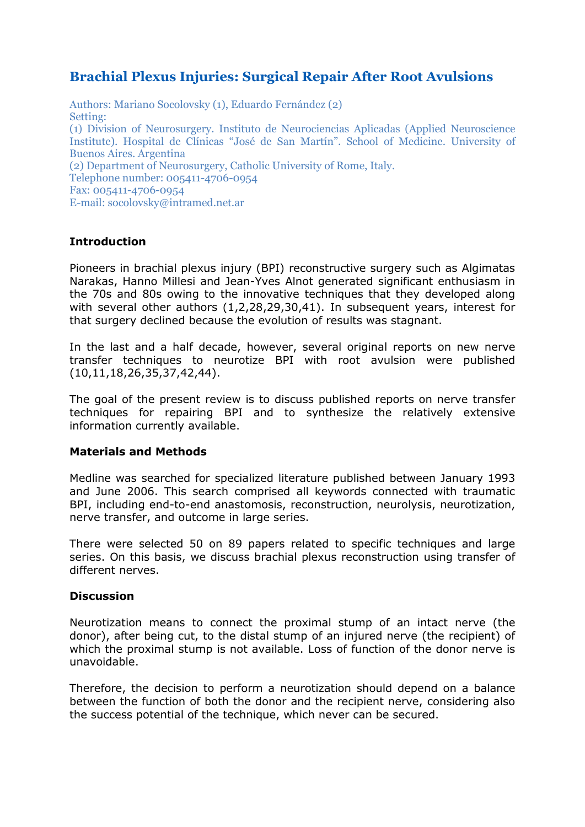# **Brachial Plexus Injuries: Surgical Repair After Root Avulsions**

Authors: Mariano Socolovsky (1), Eduardo Fernández (2) Setting: (1) Division of Neurosurgery. Instituto de Neurociencias Aplicadas (Applied Neuroscience Institute). Hospital de Clínicas "José de San Martín". School of Medicine. University of Buenos Aires. Argentina (2) Department of Neurosurgery, Catholic University of Rome, Italy. Telephone number: 005411-4706-0954 Fax: 005411-4706-0954 E-mail: socolovsky@intramed.net.ar

# **Introduction**

Pioneers in brachial plexus injury (BPI) reconstructive surgery such as Algimatas Narakas, Hanno Millesi and Jean-Yves Alnot generated significant enthusiasm in the 70s and 80s owing to the innovative techniques that they developed along with several other authors (1,2,28,29,30,41). In subsequent years, interest for that surgery declined because the evolution of results was stagnant.

In the last and a half decade, however, several original reports on new nerve transfer techniques to neurotize BPI with root avulsion were published (10,11,18,26,35,37,42,44).

The goal of the present review is to discuss published reports on nerve transfer techniques for repairing BPI and to synthesize the relatively extensive information currently available.

# **Materials and Methods**

Medline was searched for specialized literature published between January 1993 and June 2006. This search comprised all keywords connected with traumatic BPI, including end-to-end anastomosis, reconstruction, neurolysis, neurotization, nerve transfer, and outcome in large series.

There were selected 50 on 89 papers related to specific techniques and large series. On this basis, we discuss brachial plexus reconstruction using transfer of different nerves.

#### **Discussion**

Neurotization means to connect the proximal stump of an intact nerve (the donor), after being cut, to the distal stump of an injured nerve (the recipient) of which the proximal stump is not available. Loss of function of the donor nerve is unavoidable.

Therefore, the decision to perform a neurotization should depend on a balance between the function of both the donor and the recipient nerve, considering also the success potential of the technique, which never can be secured.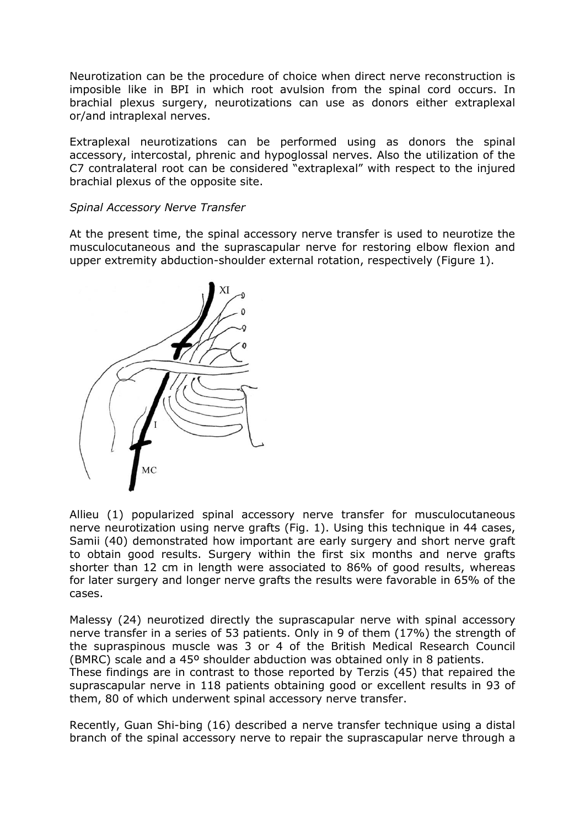Neurotization can be the procedure of choice when direct nerve reconstruction is imposible like in BPI in which root avulsion from the spinal cord occurs. In brachial plexus surgery, neurotizations can use as donors either extraplexal or/and intraplexal nerves.

Extraplexal neurotizations can be performed using as donors the spinal accessory, intercostal, phrenic and hypoglossal nerves. Also the utilization of the C7 contralateral root can be considered "extraplexal" with respect to the injured brachial plexus of the opposite site.

## *Spinal Accessory Nerve Transfer*

At the present time, the spinal accessory nerve transfer is used to neurotize the musculocutaneous and the suprascapular nerve for restoring elbow flexion and upper extremity abduction-shoulder external rotation, respectively (Figure 1).



Allieu (1) popularized spinal accessory nerve transfer for musculocutaneous nerve neurotization using nerve grafts (Fig. 1). Using this technique in 44 cases, Samii (40) demonstrated how important are early surgery and short nerve graft to obtain good results. Surgery within the first six months and nerve grafts shorter than 12 cm in length were associated to 86% of good results, whereas for later surgery and longer nerve grafts the results were favorable in 65% of the cases.

Malessy (24) neurotized directly the suprascapular nerve with spinal accessory nerve transfer in a series of 53 patients. Only in 9 of them (17%) the strength of the supraspinous muscle was 3 or 4 of the British Medical Research Council (BMRC) scale and a 45º shoulder abduction was obtained only in 8 patients. These findings are in contrast to those reported by Terzis (45) that repaired the

suprascapular nerve in 118 patients obtaining good or excellent results in 93 of them, 80 of which underwent spinal accessory nerve transfer.

Recently, Guan Shi-bing (16) described a nerve transfer technique using a distal branch of the spinal accessory nerve to repair the suprascapular nerve through a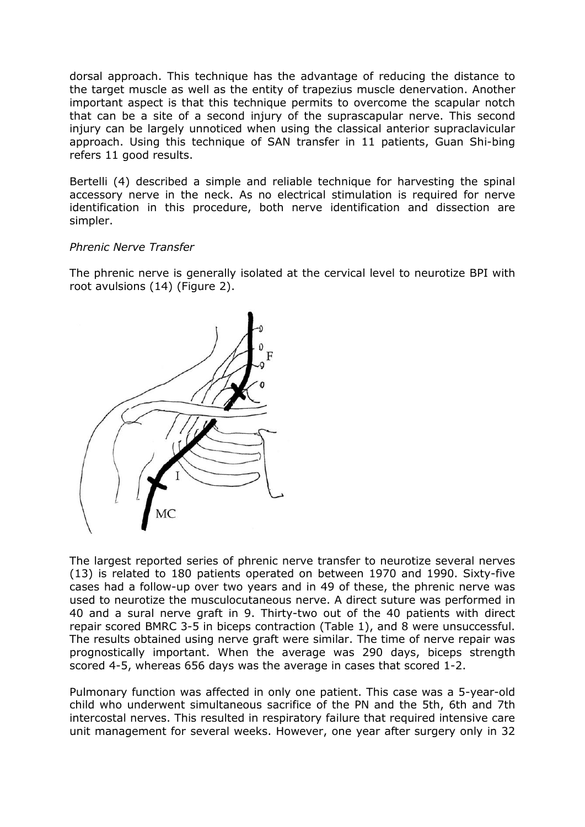dorsal approach. This technique has the advantage of reducing the distance to the target muscle as well as the entity of trapezius muscle denervation. Another important aspect is that this technique permits to overcome the scapular notch that can be a site of a second injury of the suprascapular nerve. This second injury can be largely unnoticed when using the classical anterior supraclavicular approach. Using this technique of SAN transfer in 11 patients, Guan Shi-bing refers 11 good results.

Bertelli (4) described a simple and reliable technique for harvesting the spinal accessory nerve in the neck. As no electrical stimulation is required for nerve identification in this procedure, both nerve identification and dissection are simpler.

#### *Phrenic Nerve Transfer*

The phrenic nerve is generally isolated at the cervical level to neurotize BPI with root avulsions (14) (Figure 2).



The largest reported series of phrenic nerve transfer to neurotize several nerves (13) is related to 180 patients operated on between 1970 and 1990. Sixty-five cases had a follow-up over two years and in 49 of these, the phrenic nerve was used to neurotize the musculocutaneous nerve. A direct suture was performed in 40 and a sural nerve graft in 9. Thirty-two out of the 40 patients with direct repair scored BMRC 3-5 in biceps contraction (Table 1), and 8 were unsuccessful. The results obtained using nerve graft were similar. The time of nerve repair was prognostically important. When the average was 290 days, biceps strength scored 4-5, whereas 656 days was the average in cases that scored 1-2.

Pulmonary function was affected in only one patient. This case was a 5-year-old child who underwent simultaneous sacrifice of the PN and the 5th, 6th and 7th intercostal nerves. This resulted in respiratory failure that required intensive care unit management for several weeks. However, one year after surgery only in 32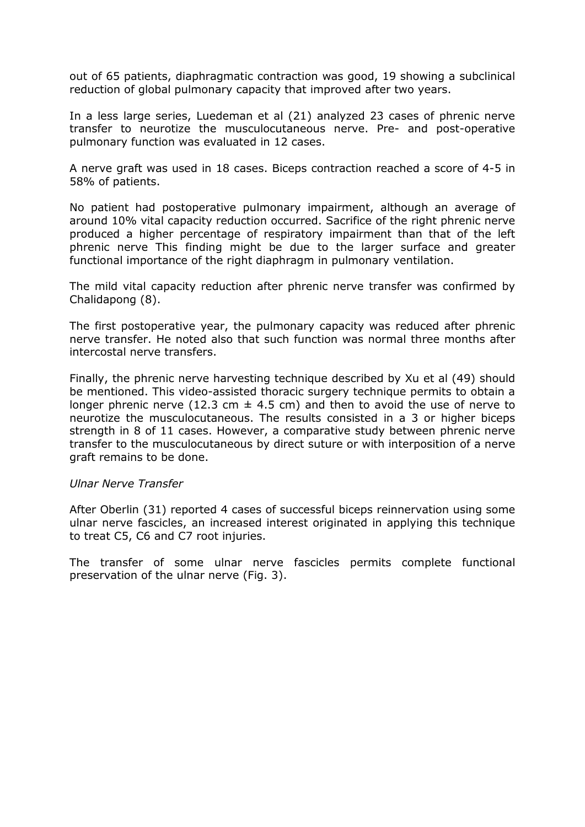out of 65 patients, diaphragmatic contraction was good, 19 showing a subclinical reduction of global pulmonary capacity that improved after two years.

In a less large series, Luedeman et al (21) analyzed 23 cases of phrenic nerve transfer to neurotize the musculocutaneous nerve. Pre- and post-operative pulmonary function was evaluated in 12 cases.

A nerve graft was used in 18 cases. Biceps contraction reached a score of 4-5 in 58% of patients.

No patient had postoperative pulmonary impairment, although an average of around 10% vital capacity reduction occurred. Sacrifice of the right phrenic nerve produced a higher percentage of respiratory impairment than that of the left phrenic nerve This finding might be due to the larger surface and greater functional importance of the right diaphragm in pulmonary ventilation.

The mild vital capacity reduction after phrenic nerve transfer was confirmed by Chalidapong (8).

The first postoperative year, the pulmonary capacity was reduced after phrenic nerve transfer. He noted also that such function was normal three months after intercostal nerve transfers.

Finally, the phrenic nerve harvesting technique described by Xu et al (49) should be mentioned. This video-assisted thoracic surgery technique permits to obtain a longer phrenic nerve (12.3 cm  $\pm$  4.5 cm) and then to avoid the use of nerve to neurotize the musculocutaneous. The results consisted in a 3 or higher biceps strength in 8 of 11 cases. However, a comparative study between phrenic nerve transfer to the musculocutaneous by direct suture or with interposition of a nerve graft remains to be done.

#### *Ulnar Nerve Transfer*

After Oberlin (31) reported 4 cases of successful biceps reinnervation using some ulnar nerve fascicles, an increased interest originated in applying this technique to treat C5, C6 and C7 root injuries.

The transfer of some ulnar nerve fascicles permits complete functional preservation of the ulnar nerve (Fig. 3).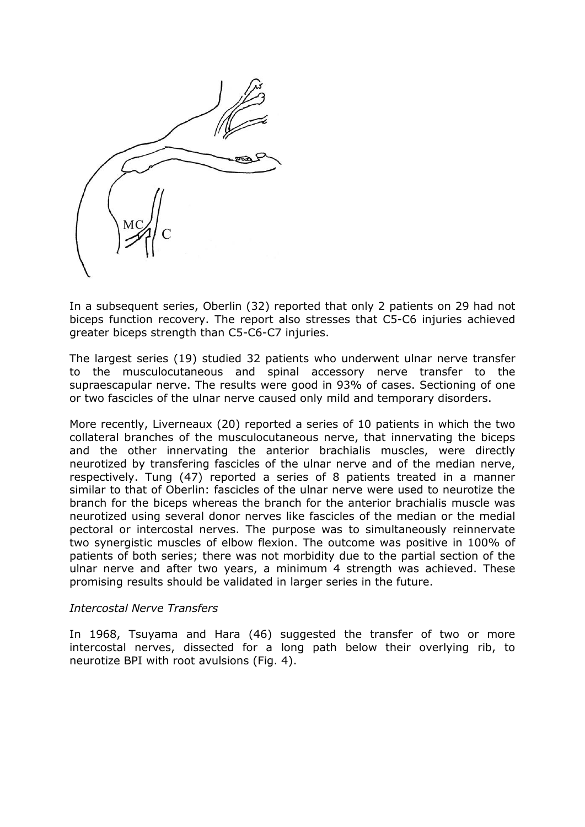

In a subsequent series, Oberlin (32) reported that only 2 patients on 29 had not biceps function recovery. The report also stresses that C5-C6 injuries achieved greater biceps strength than C5-C6-C7 injuries.

The largest series (19) studied 32 patients who underwent ulnar nerve transfer to the musculocutaneous and spinal accessory nerve transfer to the supraescapular nerve. The results were good in 93% of cases. Sectioning of one or two fascicles of the ulnar nerve caused only mild and temporary disorders.

More recently, Liverneaux (20) reported a series of 10 patients in which the two collateral branches of the musculocutaneous nerve, that innervating the biceps and the other innervating the anterior brachialis muscles, were directly neurotized by transfering fascicles of the ulnar nerve and of the median nerve, respectively. Tung (47) reported a series of 8 patients treated in a manner similar to that of Oberlin: fascicles of the ulnar nerve were used to neurotize the branch for the biceps whereas the branch for the anterior brachialis muscle was neurotized using several donor nerves like fascicles of the median or the medial pectoral or intercostal nerves. The purpose was to simultaneously reinnervate two synergistic muscles of elbow flexion. The outcome was positive in 100% of patients of both series; there was not morbidity due to the partial section of the ulnar nerve and after two years, a minimum 4 strength was achieved. These promising results should be validated in larger series in the future.

#### *Intercostal Nerve Transfers*

In 1968, Tsuyama and Hara (46) suggested the transfer of two or more intercostal nerves, dissected for a long path below their overlying rib, to neurotize BPI with root avulsions (Fig. 4).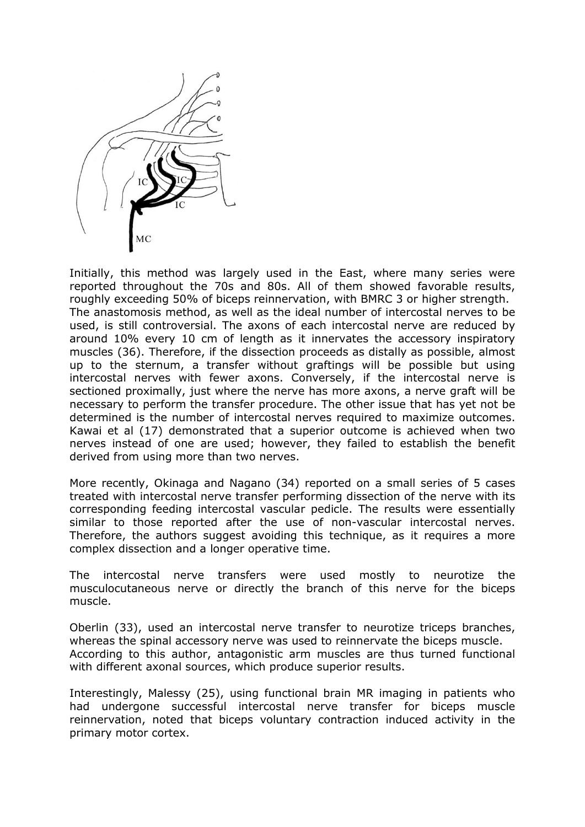

Initially, this method was largely used in the East, where many series were reported throughout the 70s and 80s. All of them showed favorable results, roughly exceeding 50% of biceps reinnervation, with BMRC 3 or higher strength. The anastomosis method, as well as the ideal number of intercostal nerves to be used, is still controversial. The axons of each intercostal nerve are reduced by around 10% every 10 cm of length as it innervates the accessory inspiratory muscles (36). Therefore, if the dissection proceeds as distally as possible, almost up to the sternum, a transfer without graftings will be possible but using intercostal nerves with fewer axons. Conversely, if the intercostal nerve is sectioned proximally, just where the nerve has more axons, a nerve graft will be necessary to perform the transfer procedure. The other issue that has yet not be determined is the number of intercostal nerves required to maximize outcomes. Kawai et al (17) demonstrated that a superior outcome is achieved when two nerves instead of one are used; however, they failed to establish the benefit derived from using more than two nerves.

More recently, Okinaga and Nagano (34) reported on a small series of 5 cases treated with intercostal nerve transfer performing dissection of the nerve with its corresponding feeding intercostal vascular pedicle. The results were essentially similar to those reported after the use of non-vascular intercostal nerves. Therefore, the authors suggest avoiding this technique, as it requires a more complex dissection and a longer operative time.

The intercostal nerve transfers were used mostly to neurotize the musculocutaneous nerve or directly the branch of this nerve for the biceps muscle.

Oberlin (33), used an intercostal nerve transfer to neurotize triceps branches, whereas the spinal accessory nerve was used to reinnervate the biceps muscle. According to this author, antagonistic arm muscles are thus turned functional with different axonal sources, which produce superior results.

Interestingly, Malessy (25), using functional brain MR imaging in patients who had undergone successful intercostal nerve transfer for biceps muscle reinnervation, noted that biceps voluntary contraction induced activity in the primary motor cortex.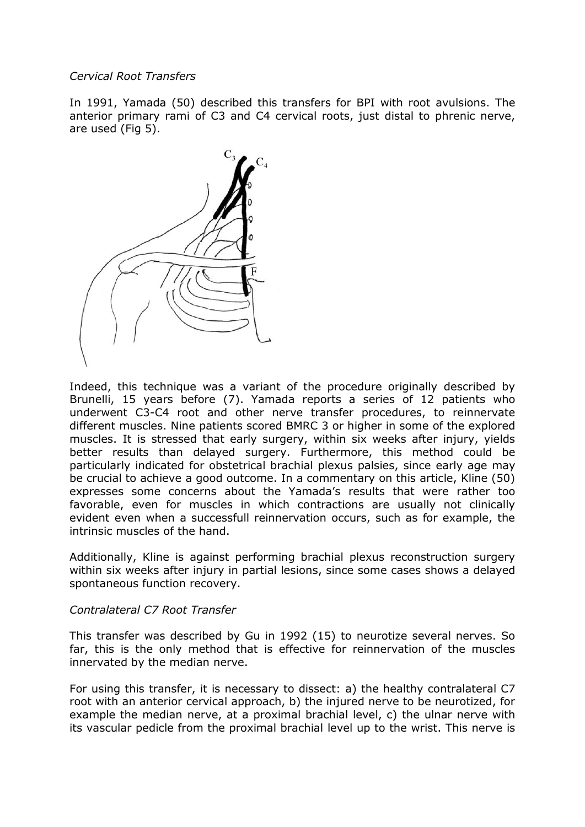## *Cervical Root Transfers*

In 1991, Yamada (50) described this transfers for BPI with root avulsions. The anterior primary rami of C3 and C4 cervical roots, just distal to phrenic nerve, are used (Fig 5).



Indeed, this technique was a variant of the procedure originally described by Brunelli, 15 years before (7). Yamada reports a series of 12 patients who underwent C3-C4 root and other nerve transfer procedures, to reinnervate different muscles. Nine patients scored BMRC 3 or higher in some of the explored muscles. It is stressed that early surgery, within six weeks after injury, yields better results than delayed surgery. Furthermore, this method could be particularly indicated for obstetrical brachial plexus palsies, since early age may be crucial to achieve a good outcome. In a commentary on this article, Kline (50) expresses some concerns about the Yamada's results that were rather too favorable, even for muscles in which contractions are usually not clinically evident even when a successfull reinnervation occurs, such as for example, the intrinsic muscles of the hand.

Additionally, Kline is against performing brachial plexus reconstruction surgery within six weeks after injury in partial lesions, since some cases shows a delayed spontaneous function recovery.

#### *Contralateral C7 Root Transfer*

This transfer was described by Gu in 1992 (15) to neurotize several nerves. So far, this is the only method that is effective for reinnervation of the muscles innervated by the median nerve.

For using this transfer, it is necessary to dissect: a) the healthy contralateral C7 root with an anterior cervical approach, b) the injured nerve to be neurotized, for example the median nerve, at a proximal brachial level, c) the ulnar nerve with its vascular pedicle from the proximal brachial level up to the wrist. This nerve is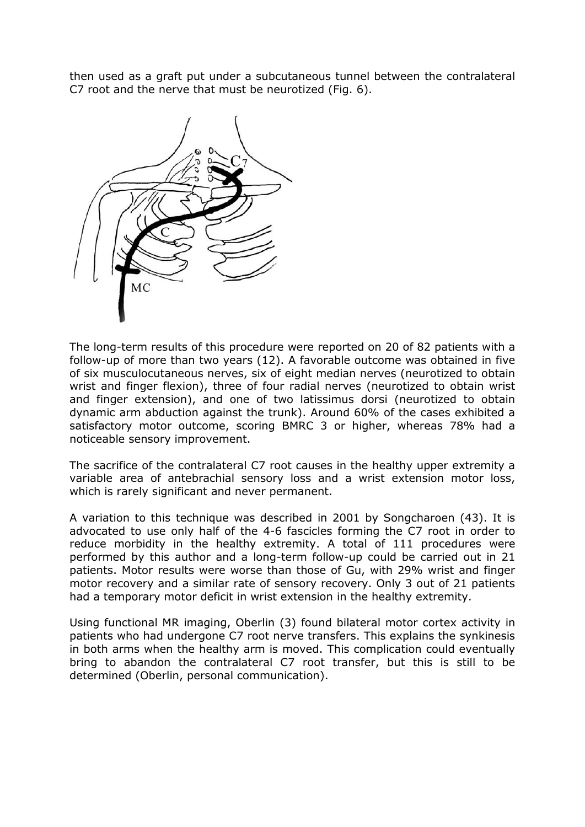then used as a graft put under a subcutaneous tunnel between the contralateral C7 root and the nerve that must be neurotized (Fig. 6).



The long-term results of this procedure were reported on 20 of 82 patients with a follow-up of more than two years (12). A favorable outcome was obtained in five of six musculocutaneous nerves, six of eight median nerves (neurotized to obtain wrist and finger flexion), three of four radial nerves (neurotized to obtain wrist and finger extension), and one of two latissimus dorsi (neurotized to obtain dynamic arm abduction against the trunk). Around 60% of the cases exhibited a satisfactory motor outcome, scoring BMRC 3 or higher, whereas 78% had a noticeable sensory improvement.

The sacrifice of the contralateral C7 root causes in the healthy upper extremity a variable area of antebrachial sensory loss and a wrist extension motor loss, which is rarely significant and never permanent.

A variation to this technique was described in 2001 by Songcharoen (43). It is advocated to use only half of the 4-6 fascicles forming the C7 root in order to reduce morbidity in the healthy extremity. A total of 111 procedures were performed by this author and a long-term follow-up could be carried out in 21 patients. Motor results were worse than those of Gu, with 29% wrist and finger motor recovery and a similar rate of sensory recovery. Only 3 out of 21 patients had a temporary motor deficit in wrist extension in the healthy extremity.

Using functional MR imaging, Oberlin (3) found bilateral motor cortex activity in patients who had undergone C7 root nerve transfers. This explains the synkinesis in both arms when the healthy arm is moved. This complication could eventually bring to abandon the contralateral C7 root transfer, but this is still to be determined (Oberlin, personal communication).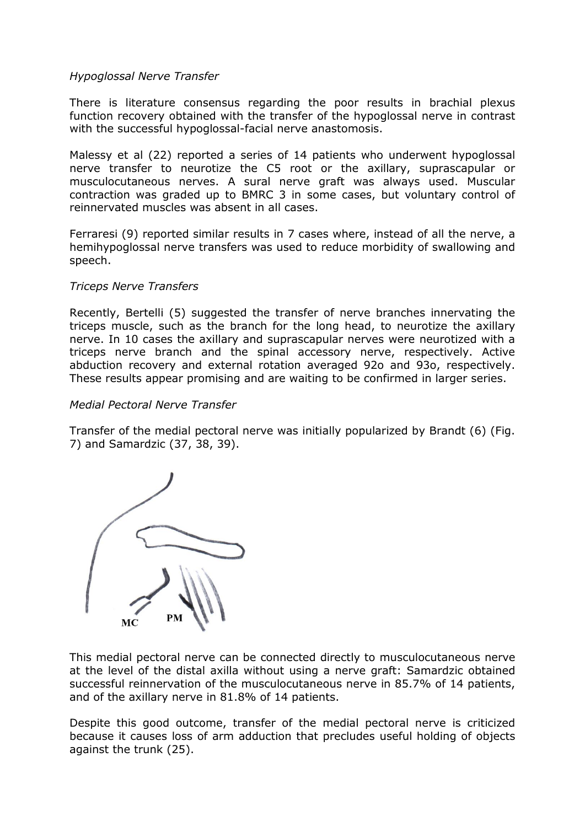## *Hypoglossal Nerve Transfer*

There is literature consensus regarding the poor results in brachial plexus function recovery obtained with the transfer of the hypoglossal nerve in contrast with the successful hypoglossal-facial nerve anastomosis.

Malessy et al (22) reported a series of 14 patients who underwent hypoglossal nerve transfer to neurotize the C5 root or the axillary, suprascapular or musculocutaneous nerves. A sural nerve graft was always used. Muscular contraction was graded up to BMRC 3 in some cases, but voluntary control of reinnervated muscles was absent in all cases.

Ferraresi (9) reported similar results in 7 cases where, instead of all the nerve, a hemihypoglossal nerve transfers was used to reduce morbidity of swallowing and speech.

## *Triceps Nerve Transfers*

Recently, Bertelli (5) suggested the transfer of nerve branches innervating the triceps muscle, such as the branch for the long head, to neurotize the axillary nerve. In 10 cases the axillary and suprascapular nerves were neurotized with a triceps nerve branch and the spinal accessory nerve, respectively. Active abduction recovery and external rotation averaged 92o and 93o, respectively. These results appear promising and are waiting to be confirmed in larger series.

#### *Medial Pectoral Nerve Transfer*

Transfer of the medial pectoral nerve was initially popularized by Brandt (6) (Fig. 7) and Samardzic (37, 38, 39).



This medial pectoral nerve can be connected directly to musculocutaneous nerve at the level of the distal axilla without using a nerve graft: Samardzic obtained successful reinnervation of the musculocutaneous nerve in 85.7% of 14 patients, and of the axillary nerve in 81.8% of 14 patients.

Despite this good outcome, transfer of the medial pectoral nerve is criticized because it causes loss of arm adduction that precludes useful holding of objects against the trunk (25).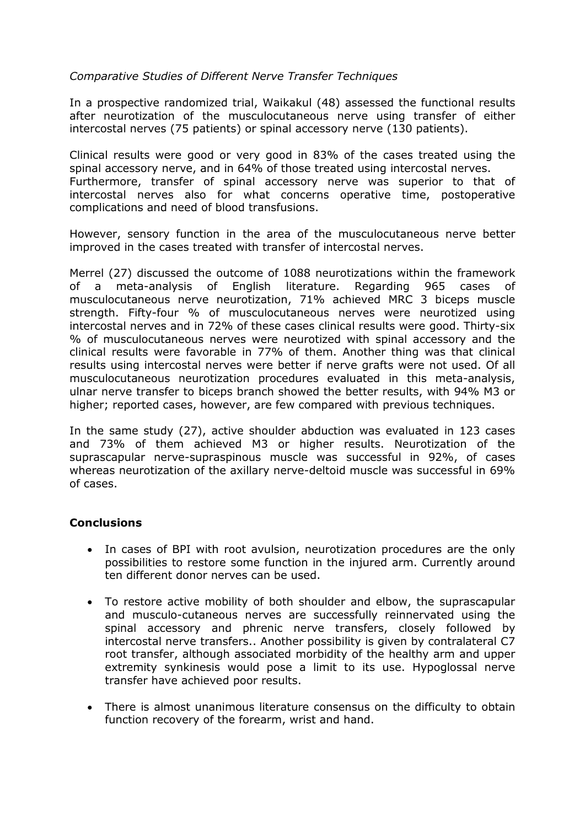# *Comparative Studies of Different Nerve Transfer Techniques*

In a prospective randomized trial, Waikakul (48) assessed the functional results after neurotization of the musculocutaneous nerve using transfer of either intercostal nerves (75 patients) or spinal accessory nerve (130 patients).

Clinical results were good or very good in 83% of the cases treated using the spinal accessory nerve, and in 64% of those treated using intercostal nerves. Furthermore, transfer of spinal accessory nerve was superior to that of intercostal nerves also for what concerns operative time, postoperative complications and need of blood transfusions.

However, sensory function in the area of the musculocutaneous nerve better improved in the cases treated with transfer of intercostal nerves.

Merrel (27) discussed the outcome of 1088 neurotizations within the framework of a meta-analysis of English literature. Regarding 965 cases of musculocutaneous nerve neurotization, 71% achieved MRC 3 biceps muscle strength. Fifty-four % of musculocutaneous nerves were neurotized using intercostal nerves and in 72% of these cases clinical results were good. Thirty-six % of musculocutaneous nerves were neurotized with spinal accessory and the clinical results were favorable in 77% of them. Another thing was that clinical results using intercostal nerves were better if nerve grafts were not used. Of all musculocutaneous neurotization procedures evaluated in this meta-analysis, ulnar nerve transfer to biceps branch showed the better results, with 94% M3 or higher; reported cases, however, are few compared with previous techniques.

In the same study (27), active shoulder abduction was evaluated in 123 cases and 73% of them achieved M3 or higher results. Neurotization of the suprascapular nerve-supraspinous muscle was successful in 92%, of cases whereas neurotization of the axillary nerve-deltoid muscle was successful in 69% of cases.

#### **Conclusions**

- In cases of BPI with root avulsion, neurotization procedures are the only possibilities to restore some function in the injured arm. Currently around ten different donor nerves can be used.
- To restore active mobility of both shoulder and elbow, the suprascapular and musculo-cutaneous nerves are successfully reinnervated using the spinal accessory and phrenic nerve transfers, closely followed by intercostal nerve transfers.. Another possibility is given by contralateral C7 root transfer, although associated morbidity of the healthy arm and upper extremity synkinesis would pose a limit to its use. Hypoglossal nerve transfer have achieved poor results.
- There is almost unanimous literature consensus on the difficulty to obtain function recovery of the forearm, wrist and hand.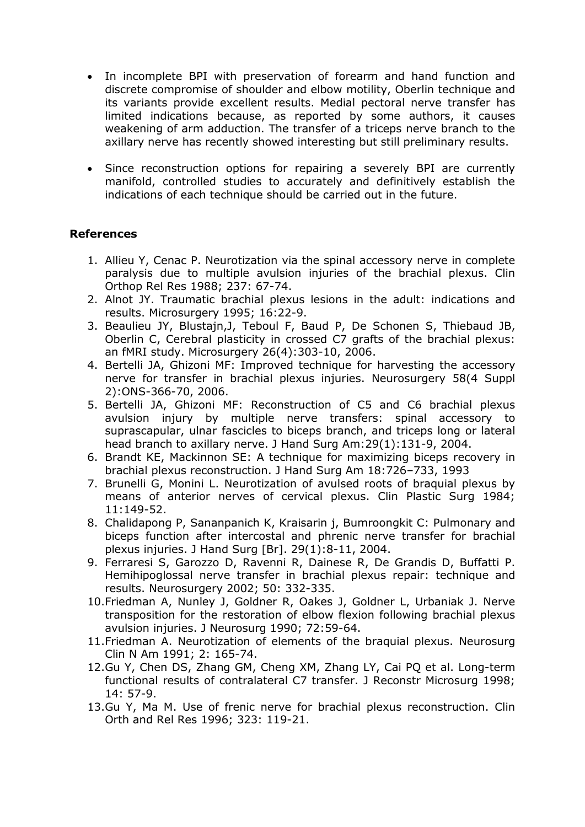- In incomplete BPI with preservation of forearm and hand function and discrete compromise of shoulder and elbow motility, Oberlin technique and its variants provide excellent results. Medial pectoral nerve transfer has limited indications because, as reported by some authors, it causes weakening of arm adduction. The transfer of a triceps nerve branch to the axillary nerve has recently showed interesting but still preliminary results.
- Since reconstruction options for repairing a severely BPI are currently manifold, controlled studies to accurately and definitively establish the indications of each technique should be carried out in the future.

# **References**

- 1. Allieu Y, Cenac P. Neurotization via the spinal accessory nerve in complete paralysis due to multiple avulsion injuries of the brachial plexus. Clin Orthop Rel Res 1988; 237: 67-74.
- 2. Alnot JY. Traumatic brachial plexus lesions in the adult: indications and results. Microsurgery 1995; 16:22-9.
- 3. Beaulieu JY, Blustajn,J, Teboul F, Baud P, De Schonen S, Thiebaud JB, Oberlin C, Cerebral plasticity in crossed C7 grafts of the brachial plexus: an fMRI study. Microsurgery 26(4):303-10, 2006.
- 4. Bertelli JA, Ghizoni MF: Improved technique for harvesting the accessory nerve for transfer in brachial plexus injuries. Neurosurgery 58(4 Suppl 2):ONS-366-70, 2006.
- 5. Bertelli JA, Ghizoni MF: Reconstruction of C5 and C6 brachial plexus avulsion injury by multiple nerve transfers: spinal accessory to suprascapular, ulnar fascicles to biceps branch, and triceps long or lateral head branch to axillary nerve. J Hand Surg Am:29(1):131-9, 2004.
- 6. Brandt KE, Mackinnon SE: A technique for maximizing biceps recovery in brachial plexus reconstruction. J Hand Surg Am 18:726–733, 1993
- 7. Brunelli G, Monini L. Neurotization of avulsed roots of braquial plexus by means of anterior nerves of cervical plexus. Clin Plastic Surg 1984; 11:149-52.
- 8. Chalidapong P, Sananpanich K, Kraisarin j, Bumroongkit C: Pulmonary and biceps function after intercostal and phrenic nerve transfer for brachial plexus injuries. J Hand Surg [Br]. 29(1):8-11, 2004.
- 9. Ferraresi S, Garozzo D, Ravenni R, Dainese R, De Grandis D, Buffatti P. Hemihipoglossal nerve transfer in brachial plexus repair: technique and results. Neurosurgery 2002; 50: 332-335.
- 10.Friedman A, Nunley J, Goldner R, Oakes J, Goldner L, Urbaniak J. Nerve transposition for the restoration of elbow flexion following brachial plexus avulsion injuries. J Neurosurg 1990; 72:59-64.
- 11.Friedman A. Neurotization of elements of the braquial plexus. Neurosurg Clin N Am 1991; 2: 165-74.
- 12.Gu Y, Chen DS, Zhang GM, Cheng XM, Zhang LY, Cai PQ et al. Long-term functional results of contralateral C7 transfer. J Reconstr Microsurg 1998; 14: 57-9.
- 13.Gu Y, Ma M. Use of frenic nerve for brachial plexus reconstruction. Clin Orth and Rel Res 1996; 323: 119-21.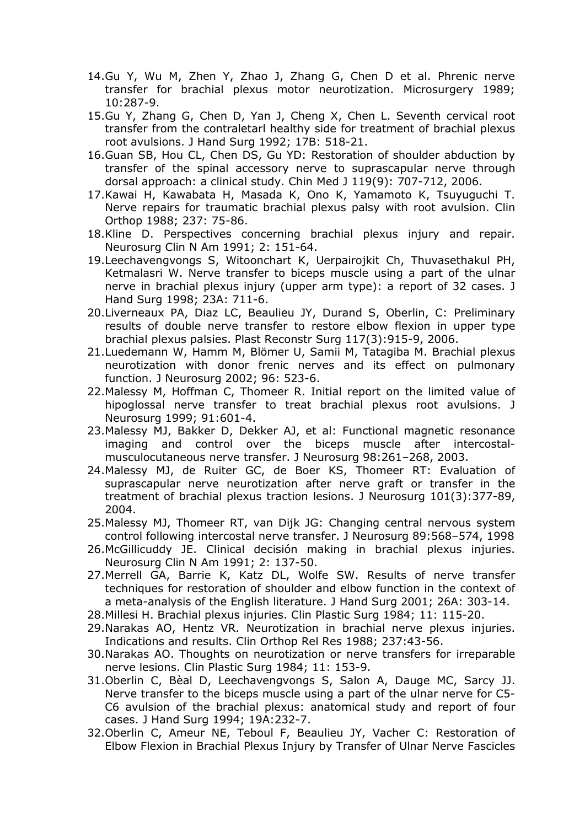- 14.Gu Y, Wu M, Zhen Y, Zhao J, Zhang G, Chen D et al. Phrenic nerve transfer for brachial plexus motor neurotization. Microsurgery 1989; 10:287-9.
- 15.Gu Y, Zhang G, Chen D, Yan J, Cheng X, Chen L. Seventh cervical root transfer from the contraletarl healthy side for treatment of brachial plexus root avulsions. J Hand Surg 1992; 17B: 518-21.
- 16.Guan SB, Hou CL, Chen DS, Gu YD: Restoration of shoulder abduction by transfer of the spinal accessory nerve to suprascapular nerve through dorsal approach: a clinical study. Chin Med J 119(9): 707-712, 2006.
- 17.Kawai H, Kawabata H, Masada K, Ono K, Yamamoto K, Tsuyuguchi T. Nerve repairs for traumatic brachial plexus palsy with root avulsion. Clin Orthop 1988; 237: 75-86.
- 18.Kline D. Perspectives concerning brachial plexus injury and repair. Neurosurg Clin N Am 1991; 2: 151-64.
- 19.Leechavengvongs S, Witoonchart K, Uerpairojkit Ch, Thuvasethakul PH, Ketmalasri W. Nerve transfer to biceps muscle using a part of the ulnar nerve in brachial plexus injury (upper arm type): a report of 32 cases. J Hand Surg 1998; 23A: 711-6.
- 20.Liverneaux PA, Diaz LC, Beaulieu JY, Durand S, Oberlin, C: Preliminary results of double nerve transfer to restore elbow flexion in upper type brachial plexus palsies. Plast Reconstr Surg 117(3):915-9, 2006.
- 21.Luedemann W, Hamm M, Blömer U, Samii M, Tatagiba M. Brachial plexus neurotization with donor frenic nerves and its effect on pulmonary function. J Neurosurg 2002; 96: 523-6.
- 22.Malessy M, Hoffman C, Thomeer R. Initial report on the limited value of hipoglossal nerve transfer to treat brachial plexus root avulsions. J Neurosurg 1999; 91:601-4.
- 23.Malessy MJ, Bakker D, Dekker AJ, et al: Functional magnetic resonance imaging and control over the biceps muscle after intercostalmusculocutaneous nerve transfer. J Neurosurg 98:261–268, 2003.
- 24.Malessy MJ, de Ruiter GC, de Boer KS, Thomeer RT: Evaluation of suprascapular nerve neurotization after nerve graft or transfer in the treatment of brachial plexus traction lesions. J Neurosurg 101(3):377-89, 2004.
- 25.Malessy MJ, Thomeer RT, van Dijk JG: Changing central nervous system control following intercostal nerve transfer. J Neurosurg 89:568–574, 1998
- 26.McGillicuddy JE. Clinical decisión making in brachial plexus injuries. Neurosurg Clin N Am 1991; 2: 137-50.
- 27.Merrell GA, Barrie K, Katz DL, Wolfe SW. Results of nerve transfer techniques for restoration of shoulder and elbow function in the context of a meta-analysis of the English literature. J Hand Surg 2001; 26A: 303-14.
- 28.Millesi H. Brachial plexus injuries. Clin Plastic Surg 1984; 11: 115-20.
- 29.Narakas AO, Hentz VR. Neurotization in brachial nerve plexus injuries. Indications and results. Clin Orthop Rel Res 1988; 237:43-56.
- 30.Narakas AO. Thoughts on neurotization or nerve transfers for irreparable nerve lesions. Clin Plastic Surg 1984; 11: 153-9.
- 31.Oberlin C, Bèal D, Leechavengvongs S, Salon A, Dauge MC, Sarcy JJ. Nerve transfer to the biceps muscle using a part of the ulnar nerve for C5- C6 avulsion of the brachial plexus: anatomical study and report of four cases. J Hand Surg 1994; 19A:232-7.
- 32.Oberlin C, Ameur NE, Teboul F, Beaulieu JY, Vacher C: Restoration of Elbow Flexion in Brachial Plexus Injury by Transfer of Ulnar Nerve Fascicles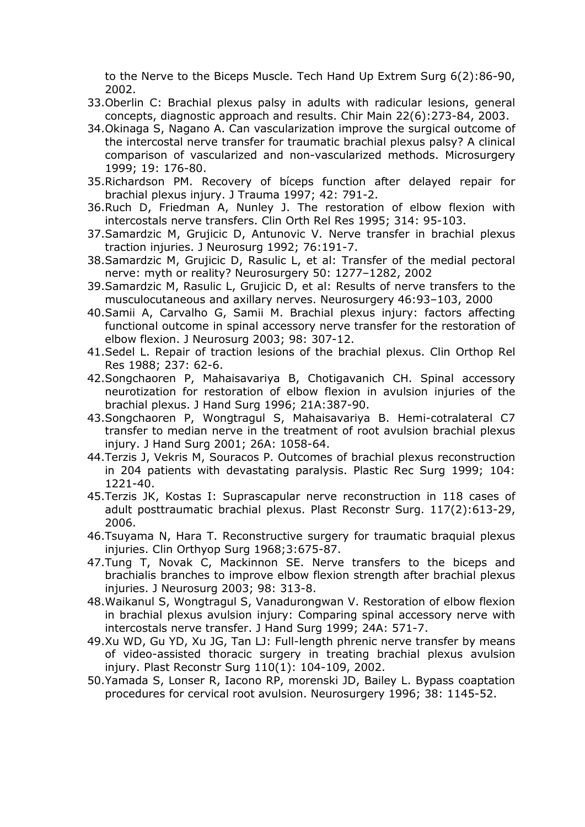to the Nerve to the Biceps Muscle. Tech Hand Up Extrem Surg 6(2):86-90, 2002.

- 33.Oberlin C: Brachial plexus palsy in adults with radicular lesions, general concepts, diagnostic approach and results. Chir Main 22(6):273-84, 2003.
- 34.Okinaga S, Nagano A. Can vascularization improve the surgical outcome of the intercostal nerve transfer for traumatic brachial plexus palsy? A clinical comparison of vascularized and non-vascularized methods. Microsurgery 1999; 19: 176-80.
- 35.Richardson PM. Recovery of bíceps function after delayed repair for brachial plexus injury. J Trauma 1997; 42: 791-2.
- 36.Ruch D, Friedman A, Nunley J. The restoration of elbow flexion with intercostals nerve transfers. Clin Orth Rel Res 1995; 314: 95-103.
- 37.Samardzic M, Grujicic D, Antunovic V. Nerve transfer in brachial plexus traction injuries. J Neurosurg 1992; 76:191-7.
- 38.Samardzic M, Grujicic D, Rasulic L, et al: Transfer of the medial pectoral nerve: myth or reality? Neurosurgery 50: 1277–1282, 2002
- 39.Samardzic M, Rasulic L, Grujicic D, et al: Results of nerve transfers to the musculocutaneous and axillary nerves. Neurosurgery 46:93–103, 2000
- 40.Samii A, Carvalho G, Samii M. Brachial plexus injury: factors affecting functional outcome in spinal accessory nerve transfer for the restoration of elbow flexion. J Neurosurg 2003; 98: 307-12.
- 41.Sedel L. Repair of traction lesions of the brachial plexus. Clin Orthop Rel Res 1988; 237: 62-6.
- 42.Songchaoren P, Mahaisavariya B, Chotigavanich CH. Spinal accessory neurotization for restoration of elbow flexion in avulsion injuries of the brachial plexus. J Hand Surg 1996; 21A:387-90.
- 43.Songchaoren P, Wongtragul S, Mahaisavariya B. Hemi-cotralateral C7 transfer to median nerve in the treatment of root avulsion brachial plexus injury. J Hand Surg 2001; 26A: 1058-64.
- 44.Terzis J, Vekris M, Souracos P. Outcomes of brachial plexus reconstruction in 204 patients with devastating paralysis. Plastic Rec Surg 1999; 104: 1221-40.
- 45.Terzis JK, Kostas I: Suprascapular nerve reconstruction in 118 cases of adult posttraumatic brachial plexus. Plast Reconstr Surg. 117(2):613-29, 2006.
- 46.Tsuyama N, Hara T. Reconstructive surgery for traumatic braquial plexus injuries. Clin Orthyop Surg 1968;3:675-87.
- 47.Tung T, Novak C, Mackinnon SE. Nerve transfers to the biceps and brachialis branches to improve elbow flexion strength after brachial plexus injuries. J Neurosurg 2003; 98: 313-8.
- 48.Waikanul S, Wongtragul S, Vanadurongwan V. Restoration of elbow flexion in brachial plexus avulsion injury: Comparing spinal accessory nerve with intercostals nerve transfer. J Hand Surg 1999; 24A: 571-7.
- 49.Xu WD, Gu YD, Xu JG, Tan LJ: Full-length phrenic nerve transfer by means of video-assisted thoracic surgery in treating brachial plexus avulsion injury. Plast Reconstr Surg 110(1): 104-109, 2002.
- 50.Yamada S, Lonser R, Iacono RP, morenski JD, Bailey L. Bypass coaptation procedures for cervical root avulsion. Neurosurgery 1996; 38: 1145-52.